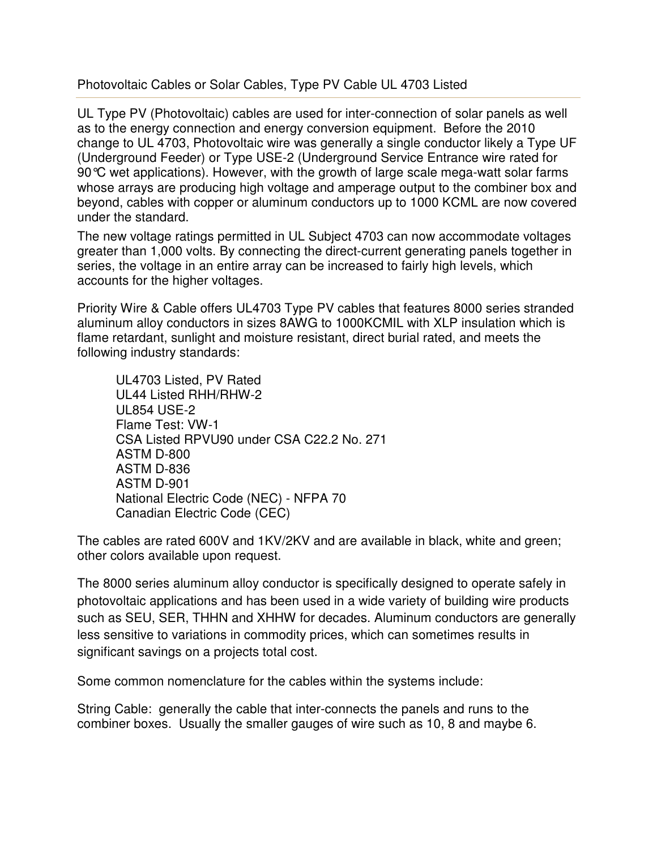Photovoltaic Cables or Solar Cables, Type PV Cable UL 4703 Listed

UL Type PV (Photovoltaic) cables are used for inter-connection of solar panels as well as to the energy connection and energy conversion equipment. Before the 2010 change to UL 4703, Photovoltaic wire was generally a single conductor likely a Type UF (Underground Feeder) or Type USE-2 (Underground Service Entrance wire rated for 90°C wet applications). However, with the growth of large scale mega-watt solar farms whose arrays are producing high voltage and amperage output to the combiner box and beyond, cables with copper or aluminum conductors up to 1000 KCML are now covered under the standard.

The new voltage ratings permitted in UL Subject 4703 can now accommodate voltages greater than 1,000 volts. By connecting the direct-current generating panels together in series, the voltage in an entire array can be increased to fairly high levels, which accounts for the higher voltages.

Priority Wire & Cable offers UL4703 Type PV cables that features 8000 series stranded aluminum alloy conductors in sizes 8AWG to 1000KCMIL with XLP insulation which is flame retardant, sunlight and moisture resistant, direct burial rated, and meets the following industry standards:

 UL4703 Listed, PV Rated UL44 Listed RHH/RHW-2 UL854 USE-2 Flame Test: VW-1 CSA Listed RPVU90 under CSA C22.2 No. 271 ASTM D-800 ASTM D-836 ASTM D-901 National Electric Code (NEC) - NFPA 70 Canadian Electric Code (CEC)

The cables are rated 600V and 1KV/2KV and are available in black, white and green; other colors available upon request.

The 8000 series aluminum alloy conductor is specifically designed to operate safely in photovoltaic applications and has been used in a wide variety of building wire products such as SEU, SER, THHN and XHHW for decades. Aluminum conductors are generally less sensitive to variations in commodity prices, which can sometimes results in significant savings on a projects total cost.

Some common nomenclature for the cables within the systems include:

String Cable: generally the cable that inter-connects the panels and runs to the combiner boxes. Usually the smaller gauges of wire such as 10, 8 and maybe 6.